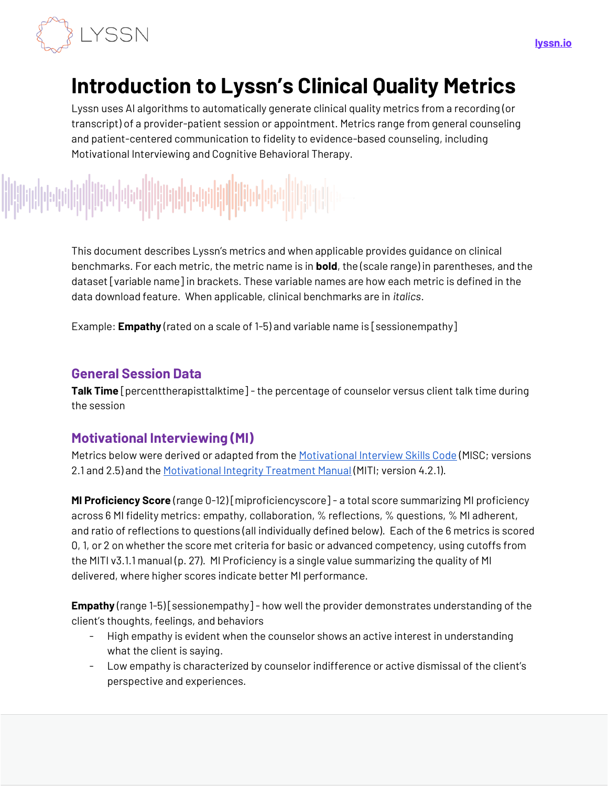

# **Introduction to Lyssn's Clinical Quality Metrics**

Lyssn uses AI algorithms to automatically generate clinical quality metrics from a recording (or transcript) of a provider-patient session or appointment. Metrics range from general counseling and patient-centered communication to fidelity to evidence-based counseling, including Motivational Interviewing and Cognitive Behavioral Therapy.

This document describes Lyssn's metrics and when applicable provides guidance on clinical benchmarks. For each metric, the metric name is in **bold**, the (scale range) in parentheses, and the dataset [variable name] in brackets. These variable names are how each metric is defined in the data download feature. When applicable, clinical benchmarks are in *italics*.

Example: **Empathy** (rated on a scale of 1-5) and variable name is [sessionempathy]

#### **General Session Data**

**Talk Time** [percenttherapisttalktime] - the percentage of counselor versus client talk time during the session

### **Motivational Interviewing (MI)**

Metrics below were derived or adapted from the [Motivational Interview Skills Code](https://casaa.unm.edu/download/misc25.pdf) (MISC; versions 2.1 and 2.5) and th[e Motivational Integrity Treatment Manual](https://casaa.unm.edu/download/MITI4_2.pdf) (MITI; version 4.2.1).

**MI Proficiency Score** (range 0-12) [miproficiencyscore] - a total score summarizing MI proficiency across 6 MI fidelity metrics: empathy, collaboration, % reflections, % questions, % MI adherent, and ratio of reflections to questions (all individually defined below). Each of the 6 metrics is scored 0, 1, or 2 on whether the score met criteria for basic or advanced competency, using cutoffs from the MITI v3.1.1 manual (p. 27). MI Proficiency is a single value summarizing the quality of MI delivered, where higher scores indicate better MI performance.

**Empathy** (range 1-5) [sessionempathy] - how well the provider demonstrates understanding of the client's thoughts, feelings, and behaviors

- High empathy is evident when the counselor shows an active interest in understanding what the client is saying.
- Low empathy is characterized by counselor indifference or active dismissal of the client's perspective and experiences.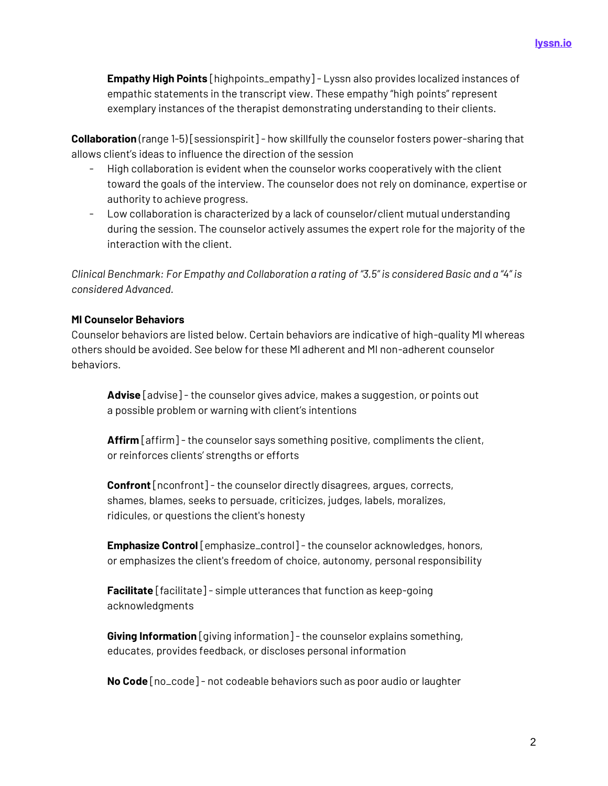**Empathy High Points** [highpoints\_empathy] - Lyssn also provides localized instances of empathic statements in the transcript view. These empathy "high points" represent exemplary instances of the therapist demonstrating understanding to their clients.

**Collaboration** (range 1-5) [sessionspirit] - how skillfully the counselor fosters power-sharing that allows client's ideas to influence the direction of the session

- High collaboration is evident when the counselor works cooperatively with the client toward the goals of the interview. The counselor does not rely on dominance, expertise or authority to achieve progress.
- Low collaboration is characterized by a lack of counselor/client mutual understanding during the session. The counselor actively assumes the expert role for the majority of the interaction with the client.

*Clinical Benchmark: For Empathy and Collaboration a rating of "3.5" is considered Basic and a "4" is considered Advanced.* 

#### **MI Counselor Behaviors**

Counselor behaviors are listed below. Certain behaviors are indicative of high-quality MI whereas others should be avoided. See below for these MI adherent and MI non-adherent counselor behaviors.

**Advise** [advise] - the counselor gives advice, makes a suggestion, or points out a possible problem or warning with client's intentions

**Affirm** [affirm] - the counselor says something positive, compliments the client, or reinforces clients' strengths or efforts

**Confront** [nconfront] - the counselor directly disagrees, argues, corrects, shames, blames, seeks to persuade, criticizes, judges, labels, moralizes, ridicules, or questions the client's honesty

**Emphasize Control** [emphasize\_control] - the counselor acknowledges, honors, or emphasizes the client's freedom of choice, autonomy, personal responsibility

**Facilitate** [facilitate] - simple utterances that function as keep-going acknowledgments

**Giving Information** [giving information] - the counselor explains something, educates, provides feedback, or discloses personal information

**No Code** [no\_code] - not codeable behaviors such as poor audio or laughter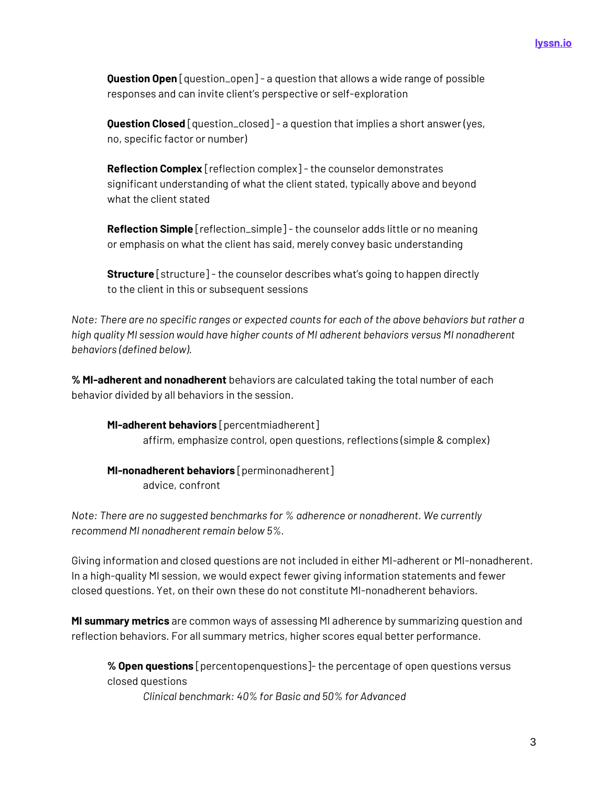**Question Open** [question\_open] - a question that allows a wide range of possible responses and can invite client's perspective or self-exploration

**Question Closed** [question\_closed] - a question that implies a short answer (yes, no, specific factor or number)

Reflection Complex [reflection complex] - the counselor demonstrates significant understanding of what the client stated, typically above and beyond what the client stated

Reflection Simple [reflection\_simple] - the counselor adds little or no meaning or emphasis on what the client has said, merely convey basic understanding

**Structure** [structure] - the counselor describes what's going to happen directly to the client in this or subsequent sessions

*Note: There are no specific ranges or expected counts for each of the above behaviors but rather a high quality MI session would have higher counts of MI adherent behaviors versus MI nonadherent behaviors (defined below).* 

**% MI-adherent and nonadherent** behaviors are calculated taking the total number of each behavior divided by all behaviors in the session.

**MI-adherent behaviors** [percentmiadherent] affirm, emphasize control, open questions, reflections (simple & complex)

**MI-nonadherent behaviors** [perminonadherent] advice, confront

*Note: There are no suggested benchmarks for % adherence or nonadherent. We currently recommend MI nonadherent remain below 5%.*

Giving information and closed questions are not included in either MI-adherent or MI-nonadherent. In a high-quality MI session, we would expect fewer giving information statements and fewer closed questions. Yet, on their own these do not constitute MI-nonadherent behaviors.

**MI summary metrics** are common ways of assessing MI adherence by summarizing question and reflection behaviors. For all summary metrics, higher scores equal better performance.

**% Open questions** [percentopenquestions]-the percentage of open questions versus closed questions

*Clinical benchmark: 40% for Basic and 50% for Advanced*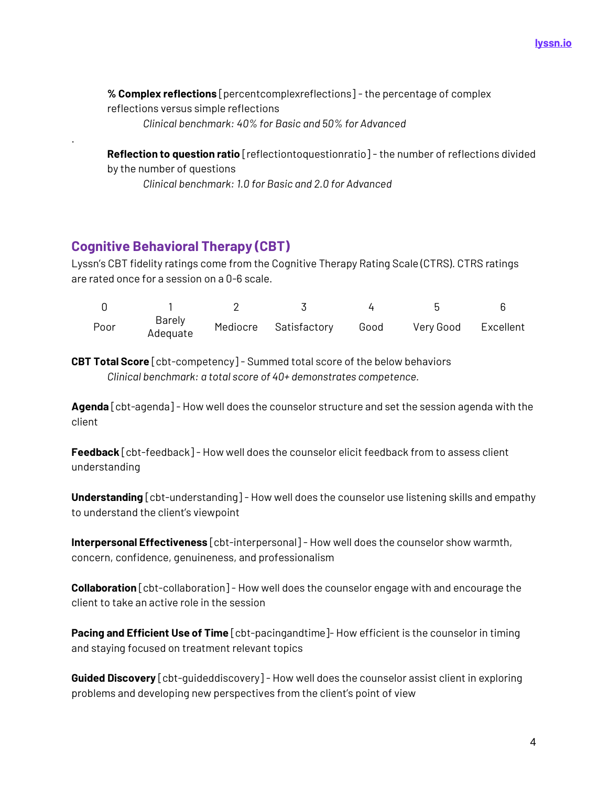**% Complex reflections** [percentcomplexreflections] -the percentage of complex reflections versus simple reflections

*Clinical benchmark: 40% for Basic and 50% for Advanced* 

**Reflection to question ratio** [reflectiontoquestionratio] - the number of reflections divided by the number of questions

*Clinical benchmark: 1.0 for Basic and 2.0 for Advanced*

## **Cognitive Behavioral Therapy (CBT)**

.

Lyssn's CBT fidelity ratings come from the Cognitive Therapy Rating Scale (CTRS). CTRS ratings are rated once for a session on a 0-6 scale.

| Poor | Barely<br>Adequate | Mediocre Satisfactory Good | Very Good Excellent |  |
|------|--------------------|----------------------------|---------------------|--|

**CBT Total Score** [cbt-competency] - Summed total score of the below behaviors *Clinical benchmark: a total score of 40+ demonstrates competence.*

**Agenda** [cbt-agenda] - How well does the counselor structure and set the session agenda with the client

**Feedback** [cbt-feedback] - How well does the counselor elicit feedback from to assess client understanding

**Understanding** [cbt-understanding] - How well does the counselor use listening skills and empathy to understand the client's viewpoint

**Interpersonal Effectiveness** [cbt-interpersonal] - How well does the counselor show warmth, concern, confidence, genuineness, and professionalism

**Collaboration** [cbt-collaboration] - How well does the counselor engage with and encourage the client to take an active role in the session

**Pacing and Efficient Use of Time** [cbt-pacingandtime]- How efficient is the counselor in timing and staying focused on treatment relevant topics

**Guided Discovery** [cbt-guideddiscovery] - How well does the counselor assist client in exploring problems and developing new perspectives from the client's point of view